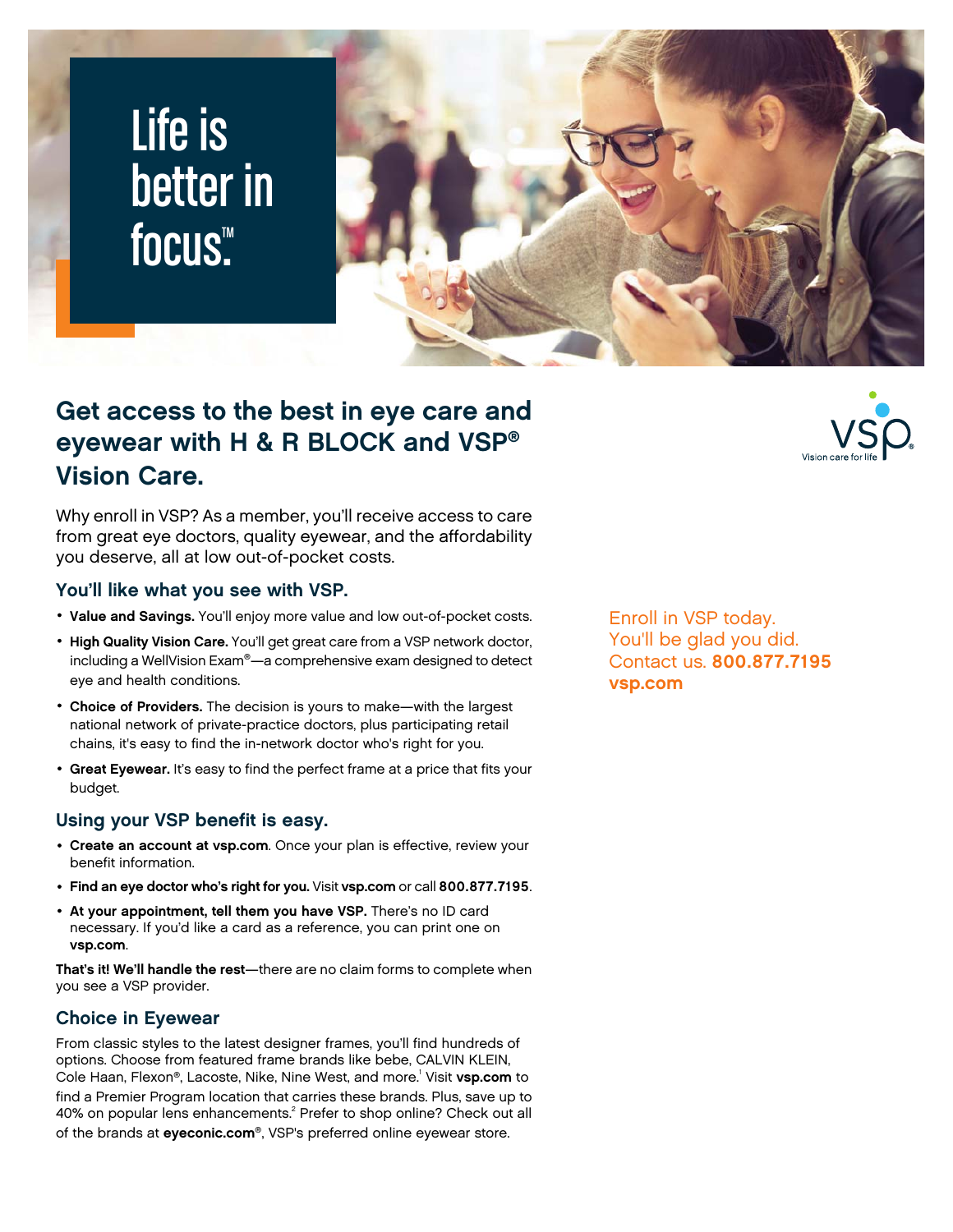# Life is better in focus<sup>™</sup>



## **Get access to the best in eye care and eyewear with H & R BLOCK and VSP® Vision Care.**

Why enroll in VSP? As a member, you'll receive access to care from great eye doctors, quality eyewear, and the affordability you deserve, all at low out-of-pocket costs.

#### **You'll like what you see with VSP.**

- **Value and Savings.** You'll enjoy more value and low out-of-pocket costs.
- **High Quality Vision Care.** You'll get great care from a VSP network doctor, including a WellVision Exam®—a comprehensive exam designed to detect eye and health conditions.
- **Choice of Providers.** The decision is yours to make—with the largest national network of private-practice doctors, plus participating retail chains, it's easy to find the in-network doctor who's right for you.
- **Great Eyewear.** It's easy to find the perfect frame at a price that fits your budget.

#### **Using your VSP benefit is easy.**

- **Create an account at vsp.com**. Once your plan is effective, review your benefit information.
- **Find an eye doctor who's right for you.** Visit **vsp.com** or call **800.877.7195**.
- **At your appointment, tell them you have VSP.** There's no ID card necessary. If you'd like a card as a reference, you can print one on **vsp.com**.

**That's it! We'll handle the rest**—there are no claim forms to complete when you see a VSP provider.

### **Choice in Eyewear**

From classic styles to the latest designer frames, you'll find hundreds of options. Choose from featured frame brands like bebe, CALVIN KLEIN, Cole Haan, Flexon®, Lacoste, Nike, Nine West, and more.<sup>1</sup> Visit **vsp.com** to find a Premier Program location that carries these brands. Plus, save up to 40% on popular lens enhancements.<sup>2</sup> Prefer to shop online? Check out all of the brands at **eyeconic.com**®, VSP's preferred online eyewear store.

Enroll in VSP today. You'll be glad you did. Contact us. **800.877.7195 vsp.com**